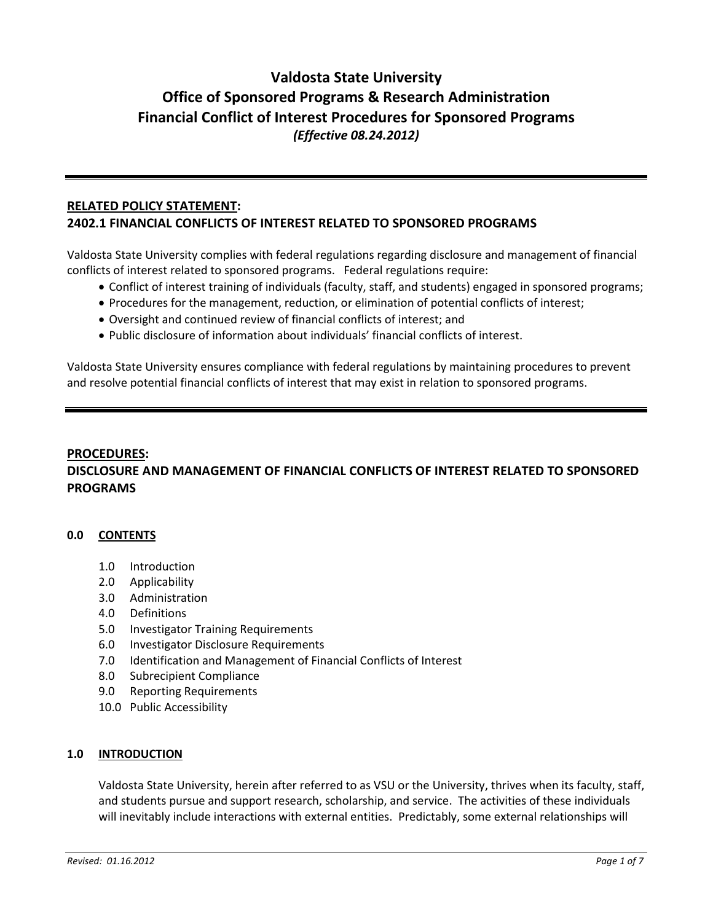# **Valdosta State University Office of Sponsored Programs & Research Administration Financial Conflict of Interest Procedures for Sponsored Programs** *(Effective 08.24.2012)*

## **RELATED POLICY STATEMENT: 2402.1 FINANCIAL CONFLICTS OF INTEREST RELATED TO SPONSORED PROGRAMS**

Valdosta State University complies with federal regulations regarding disclosure and management of financial conflicts of interest related to sponsored programs. Federal regulations require:

- Conflict of interest training of individuals (faculty, staff, and students) engaged in sponsored programs;
- Procedures for the management, reduction, or elimination of potential conflicts of interest;
- Oversight and continued review of financial conflicts of interest; and
- Public disclosure of information about individuals' financial conflicts of interest.

Valdosta State University ensures compliance with federal regulations by maintaining procedures to prevent and resolve potential financial conflicts of interest that may exist in relation to sponsored programs.

# **PROCEDURES: DISCLOSURE AND MANAGEMENT OF FINANCIAL CONFLICTS OF INTEREST RELATED TO SPONSORED PROGRAMS**

## **0.0 CONTENTS**

- 1.0 Introduction
- 2.0 Applicability
- 3.0 Administration
- 4.0 Definitions
- 5.0 Investigator Training Requirements
- 6.0 Investigator Disclosure Requirements
- 7.0 Identification and Management of Financial Conflicts of Interest
- 8.0 Subrecipient Compliance
- 9.0 Reporting Requirements
- 10.0 Public Accessibility

## **1.0 INTRODUCTION**

Valdosta State University, herein after referred to as VSU or the University, thrives when its faculty, staff, and students pursue and support research, scholarship, and service. The activities of these individuals will inevitably include interactions with external entities. Predictably, some external relationships will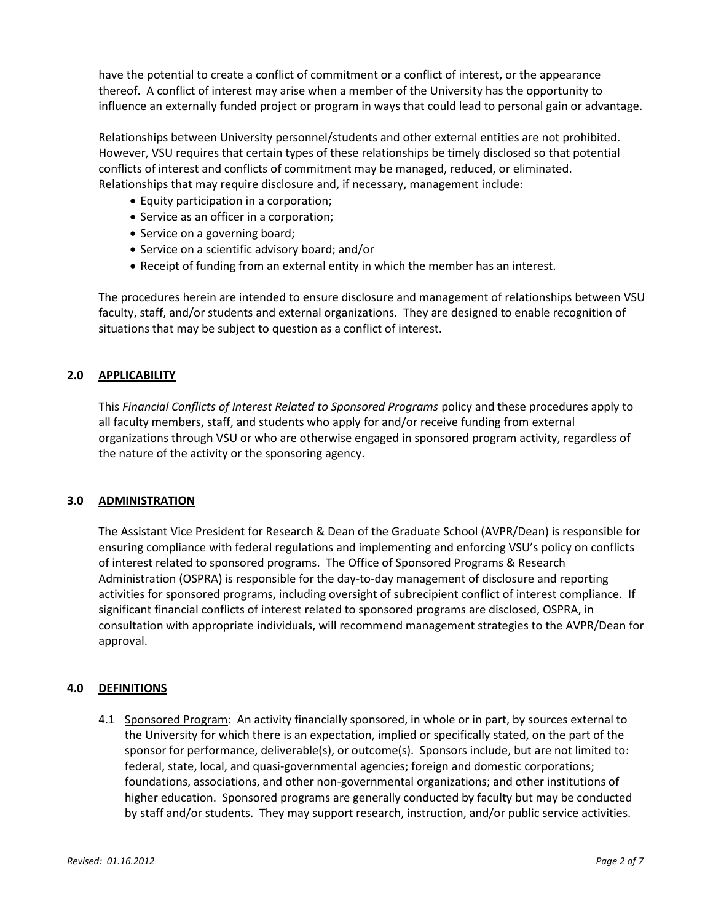have the potential to create a conflict of commitment or a conflict of interest, or the appearance thereof. A conflict of interest may arise when a member of the University has the opportunity to influence an externally funded project or program in ways that could lead to personal gain or advantage.

Relationships between University personnel/students and other external entities are not prohibited. However, VSU requires that certain types of these relationships be timely disclosed so that potential conflicts of interest and conflicts of commitment may be managed, reduced, or eliminated. Relationships that may require disclosure and, if necessary, management include:

- Equity participation in a corporation;
- Service as an officer in a corporation;
- Service on a governing board;
- Service on a scientific advisory board; and/or
- Receipt of funding from an external entity in which the member has an interest.

The procedures herein are intended to ensure disclosure and management of relationships between VSU faculty, staff, and/or students and external organizations. They are designed to enable recognition of situations that may be subject to question as a conflict of interest.

## **2.0 APPLICABILITY**

This *Financial Conflicts of Interest Related to Sponsored Programs* policy and these procedures apply to all faculty members, staff, and students who apply for and/or receive funding from external organizations through VSU or who are otherwise engaged in sponsored program activity, regardless of the nature of the activity or the sponsoring agency.

## **3.0 ADMINISTRATION**

The Assistant Vice President for Research & Dean of the Graduate School (AVPR/Dean) is responsible for ensuring compliance with federal regulations and implementing and enforcing VSU's policy on conflicts of interest related to sponsored programs. The Office of Sponsored Programs & Research Administration (OSPRA) is responsible for the day-to-day management of disclosure and reporting activities for sponsored programs, including oversight of subrecipient conflict of interest compliance. If significant financial conflicts of interest related to sponsored programs are disclosed, OSPRA, in consultation with appropriate individuals, will recommend management strategies to the AVPR/Dean for approval.

## **4.0 DEFINITIONS**

4.1 Sponsored Program: An activity financially sponsored, in whole or in part, by sources external to the University for which there is an expectation, implied or specifically stated, on the part of the sponsor for performance, deliverable(s), or outcome(s). Sponsors include, but are not limited to: federal, state, local, and quasi-governmental agencies; foreign and domestic corporations; foundations, associations, and other non-governmental organizations; and other institutions of higher education. Sponsored programs are generally conducted by faculty but may be conducted by staff and/or students. They may support research, instruction, and/or public service activities.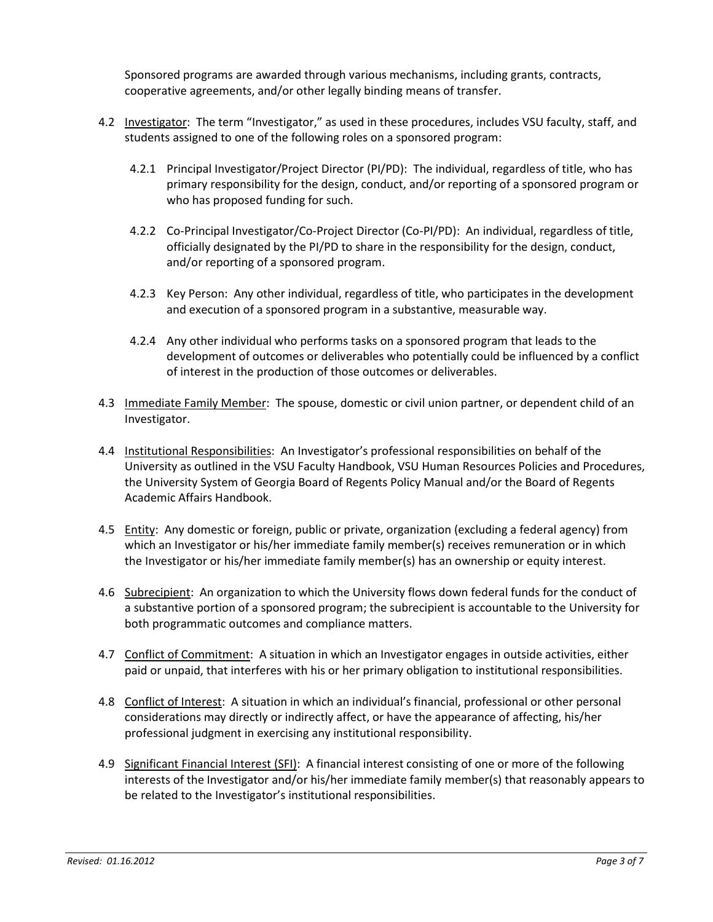Sponsored programs are awarded through various mechanisms, including grants, contracts, cooperative agreements, and/or other legally binding means of transfer.

- 4.2 Investigator: The term "Investigator," as used in these procedures, includes VSU faculty, staff, and students assigned to one of the following roles on a sponsored program:
	- 4.2.1 Principal Investigator/Project Director (PI/PD): The individual, regardless of title, who has primary responsibility for the design, conduct, and/or reporting of a sponsored program or who has proposed funding for such.
	- 4.2.2 Co-Principal Investigator/Co-Project Director (Co-PI/PD): An individual, regardless of title, officially designated by the PI/PD to share in the responsibility for the design, conduct, and/or reporting of a sponsored program.
	- 4.2.3 Key Person: Any other individual, regardless of title, who participates in the development and execution of a sponsored program in a substantive, measurable way.
	- 4.2.4 Any other individual who performs tasks on a sponsored program that leads to the development of outcomes or deliverables who potentially could be influenced by a conflict of interest in the production of those outcomes or deliverables.
- 4.3 Immediate Family Member: The spouse, domestic or civil union partner, or dependent child of an Investigator.
- 4.4 Institutional Responsibilities: An Investigator's professional responsibilities on behalf of the University as outlined in the VSU Faculty Handbook, VSU Human Resources Policies and Procedures, the University System of Georgia Board of Regents Policy Manual and/or the Board of Regents Academic Affairs Handbook.
- 4.5 Entity: Any domestic or foreign, public or private, organization (excluding a federal agency) from which an Investigator or his/her immediate family member(s) receives remuneration or in which the Investigator or his/her immediate family member(s) has an ownership or equity interest.
- 4.6 Subrecipient: An organization to which the University flows down federal funds for the conduct of a substantive portion of a sponsored program; the subrecipient is accountable to the University for both programmatic outcomes and compliance matters.
- 4.7 Conflict of Commitment: A situation in which an Investigator engages in outside activities, either paid or unpaid, that interferes with his or her primary obligation to institutional responsibilities.
- 4.8 Conflict of Interest: A situation in which an individual's financial, professional or other personal considerations may directly or indirectly affect, or have the appearance of affecting, his/her professional judgment in exercising any institutional responsibility.
- 4.9 Significant Financial Interest (SFI): A financial interest consisting of one or more of the following interests of the Investigator and/or his/her immediate family member(s) that reasonably appears to be related to the Investigator's institutional responsibilities.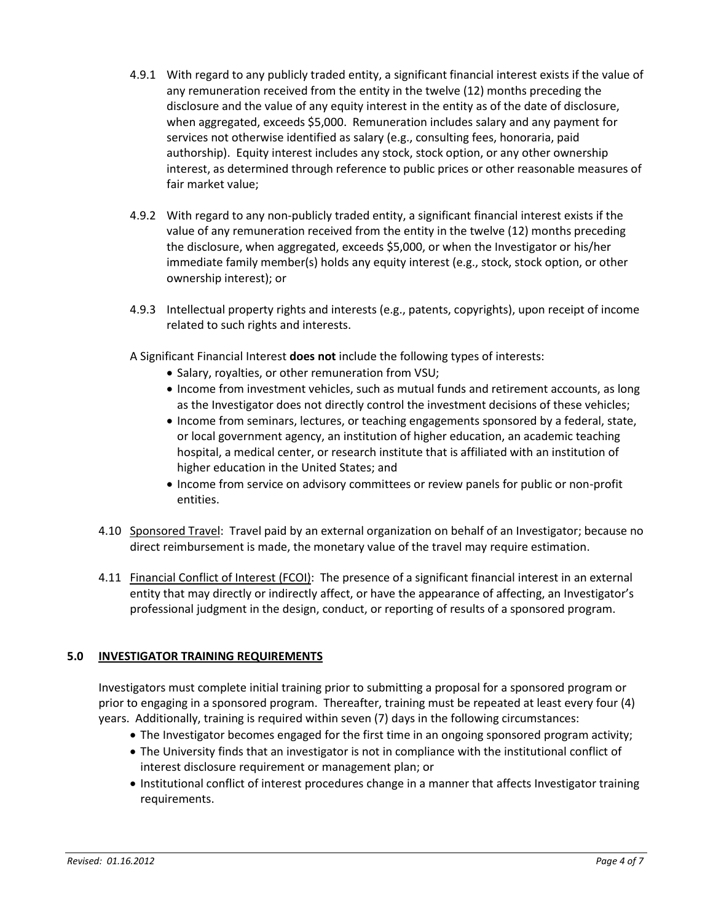- 4.9.1 With regard to any publicly traded entity, a significant financial interest exists if the value of any remuneration received from the entity in the twelve (12) months preceding the disclosure and the value of any equity interest in the entity as of the date of disclosure, when aggregated, exceeds \$5,000. Remuneration includes salary and any payment for services not otherwise identified as salary (e.g., consulting fees, honoraria, paid authorship). Equity interest includes any stock, stock option, or any other ownership interest, as determined through reference to public prices or other reasonable measures of fair market value;
- 4.9.2 With regard to any non-publicly traded entity, a significant financial interest exists if the value of any remuneration received from the entity in the twelve (12) months preceding the disclosure, when aggregated, exceeds \$5,000, or when the Investigator or his/her immediate family member(s) holds any equity interest (e.g., stock, stock option, or other ownership interest); or
- 4.9.3 Intellectual property rights and interests (e.g., patents, copyrights), upon receipt of income related to such rights and interests.
- A Significant Financial Interest **does not** include the following types of interests:
	- Salary, royalties, or other remuneration from VSU;
	- Income from investment vehicles, such as mutual funds and retirement accounts, as long as the Investigator does not directly control the investment decisions of these vehicles;
	- Income from seminars, lectures, or teaching engagements sponsored by a federal, state, or local government agency, an institution of higher education, an academic teaching hospital, a medical center, or research institute that is affiliated with an institution of higher education in the United States; and
	- Income from service on advisory committees or review panels for public or non-profit entities.
- 4.10 Sponsored Travel: Travel paid by an external organization on behalf of an Investigator; because no direct reimbursement is made, the monetary value of the travel may require estimation.
- 4.11 Financial Conflict of Interest (FCOI): The presence of a significant financial interest in an external entity that may directly or indirectly affect, or have the appearance of affecting, an Investigator's professional judgment in the design, conduct, or reporting of results of a sponsored program.

# **5.0 INVESTIGATOR TRAINING REQUIREMENTS**

Investigators must complete initial training prior to submitting a proposal for a sponsored program or prior to engaging in a sponsored program. Thereafter, training must be repeated at least every four (4) years. Additionally, training is required within seven (7) days in the following circumstances:

- The Investigator becomes engaged for the first time in an ongoing sponsored program activity;
- The University finds that an investigator is not in compliance with the institutional conflict of interest disclosure requirement or management plan; or
- Institutional conflict of interest procedures change in a manner that affects Investigator training requirements.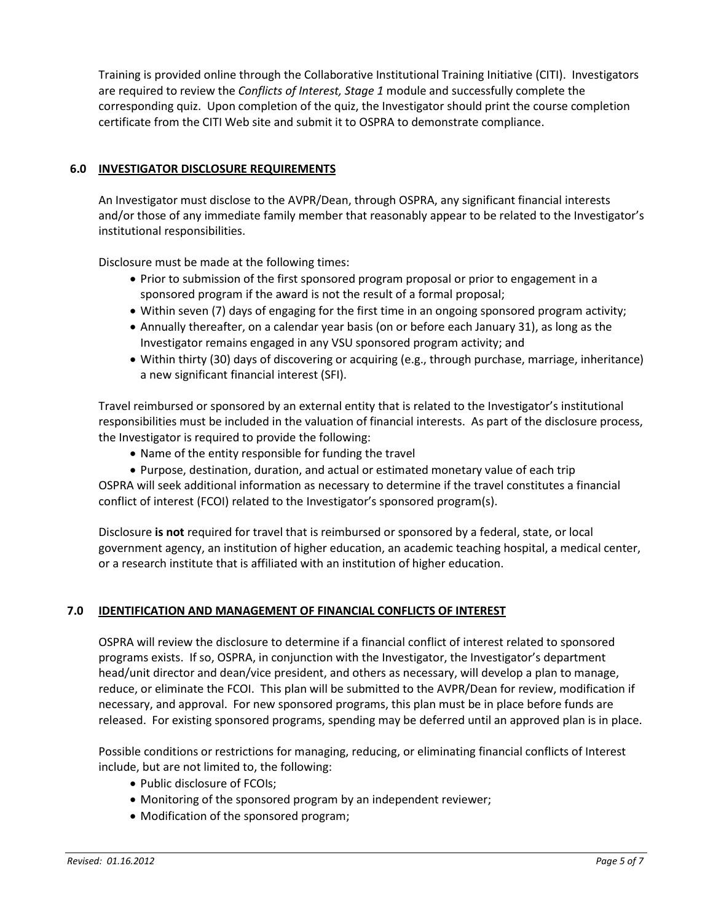Training is provided online through the Collaborative Institutional Training Initiative (CITI). Investigators are required to review the *Conflicts of Interest, Stage 1* module and successfully complete the corresponding quiz. Upon completion of the quiz, the Investigator should print the course completion certificate from the CITI Web site and submit it to OSPRA to demonstrate compliance.

## **6.0 INVESTIGATOR DISCLOSURE REQUIREMENTS**

An Investigator must disclose to the AVPR/Dean, through OSPRA, any significant financial interests and/or those of any immediate family member that reasonably appear to be related to the Investigator's institutional responsibilities.

Disclosure must be made at the following times:

- Prior to submission of the first sponsored program proposal or prior to engagement in a sponsored program if the award is not the result of a formal proposal;
- Within seven (7) days of engaging for the first time in an ongoing sponsored program activity;
- Annually thereafter, on a calendar year basis (on or before each January 31), as long as the Investigator remains engaged in any VSU sponsored program activity; and
- Within thirty (30) days of discovering or acquiring (e.g., through purchase, marriage, inheritance) a new significant financial interest (SFI).

Travel reimbursed or sponsored by an external entity that is related to the Investigator's institutional responsibilities must be included in the valuation of financial interests. As part of the disclosure process, the Investigator is required to provide the following:

Name of the entity responsible for funding the travel

 Purpose, destination, duration, and actual or estimated monetary value of each trip OSPRA will seek additional information as necessary to determine if the travel constitutes a financial conflict of interest (FCOI) related to the Investigator's sponsored program(s).

Disclosure **is not** required for travel that is reimbursed or sponsored by a federal, state, or local government agency, an institution of higher education, an academic teaching hospital, a medical center, or a research institute that is affiliated with an institution of higher education.

# **7.0 IDENTIFICATION AND MANAGEMENT OF FINANCIAL CONFLICTS OF INTEREST**

OSPRA will review the disclosure to determine if a financial conflict of interest related to sponsored programs exists. If so, OSPRA, in conjunction with the Investigator, the Investigator's department head/unit director and dean/vice president, and others as necessary, will develop a plan to manage, reduce, or eliminate the FCOI. This plan will be submitted to the AVPR/Dean for review, modification if necessary, and approval. For new sponsored programs, this plan must be in place before funds are released. For existing sponsored programs, spending may be deferred until an approved plan is in place.

Possible conditions or restrictions for managing, reducing, or eliminating financial conflicts of Interest include, but are not limited to, the following:

- Public disclosure of FCOIs:
- Monitoring of the sponsored program by an independent reviewer;
- Modification of the sponsored program;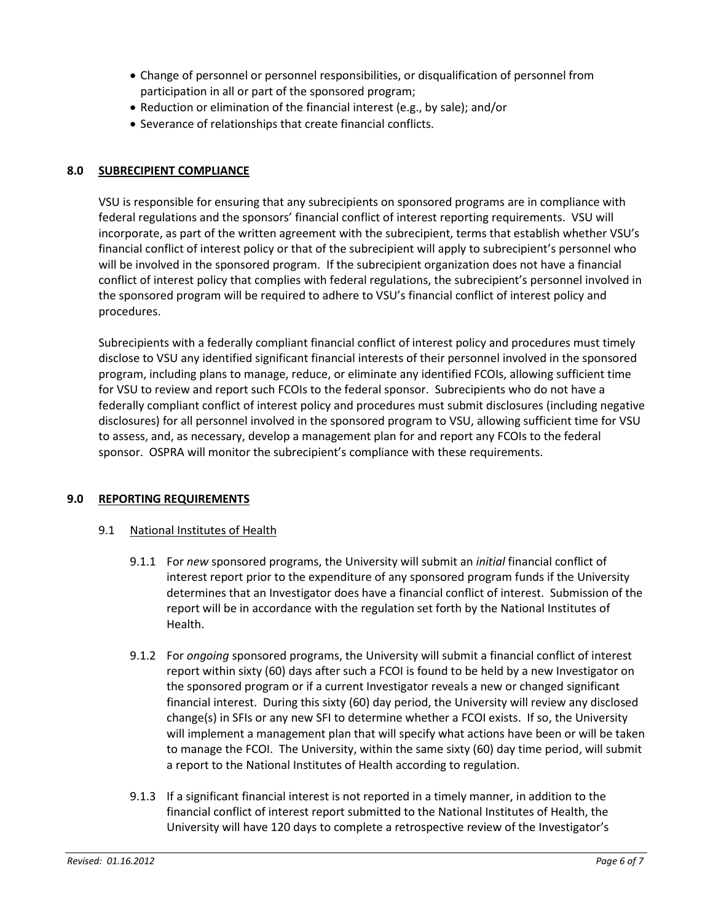- Change of personnel or personnel responsibilities, or disqualification of personnel from participation in all or part of the sponsored program;
- Reduction or elimination of the financial interest (e.g., by sale); and/or
- Severance of relationships that create financial conflicts.

## **8.0 SUBRECIPIENT COMPLIANCE**

VSU is responsible for ensuring that any subrecipients on sponsored programs are in compliance with federal regulations and the sponsors' financial conflict of interest reporting requirements. VSU will incorporate, as part of the written agreement with the subrecipient, terms that establish whether VSU's financial conflict of interest policy or that of the subrecipient will apply to subrecipient's personnel who will be involved in the sponsored program. If the subrecipient organization does not have a financial conflict of interest policy that complies with federal regulations, the subrecipient's personnel involved in the sponsored program will be required to adhere to VSU's financial conflict of interest policy and procedures.

Subrecipients with a federally compliant financial conflict of interest policy and procedures must timely disclose to VSU any identified significant financial interests of their personnel involved in the sponsored program, including plans to manage, reduce, or eliminate any identified FCOIs, allowing sufficient time for VSU to review and report such FCOIs to the federal sponsor. Subrecipients who do not have a federally compliant conflict of interest policy and procedures must submit disclosures (including negative disclosures) for all personnel involved in the sponsored program to VSU, allowing sufficient time for VSU to assess, and, as necessary, develop a management plan for and report any FCOIs to the federal sponsor. OSPRA will monitor the subrecipient's compliance with these requirements.

## **9.0 REPORTING REQUIREMENTS**

## 9.1 National Institutes of Health

- 9.1.1 For *new* sponsored programs, the University will submit an *initial* financial conflict of interest report prior to the expenditure of any sponsored program funds if the University determines that an Investigator does have a financial conflict of interest. Submission of the report will be in accordance with the regulation set forth by the National Institutes of Health.
- 9.1.2 For *ongoing* sponsored programs, the University will submit a financial conflict of interest report within sixty (60) days after such a FCOI is found to be held by a new Investigator on the sponsored program or if a current Investigator reveals a new or changed significant financial interest. During this sixty (60) day period, the University will review any disclosed change(s) in SFIs or any new SFI to determine whether a FCOI exists. If so, the University will implement a management plan that will specify what actions have been or will be taken to manage the FCOI. The University, within the same sixty (60) day time period, will submit a report to the National Institutes of Health according to regulation.
- 9.1.3 If a significant financial interest is not reported in a timely manner, in addition to the financial conflict of interest report submitted to the National Institutes of Health, the University will have 120 days to complete a retrospective review of the Investigator's